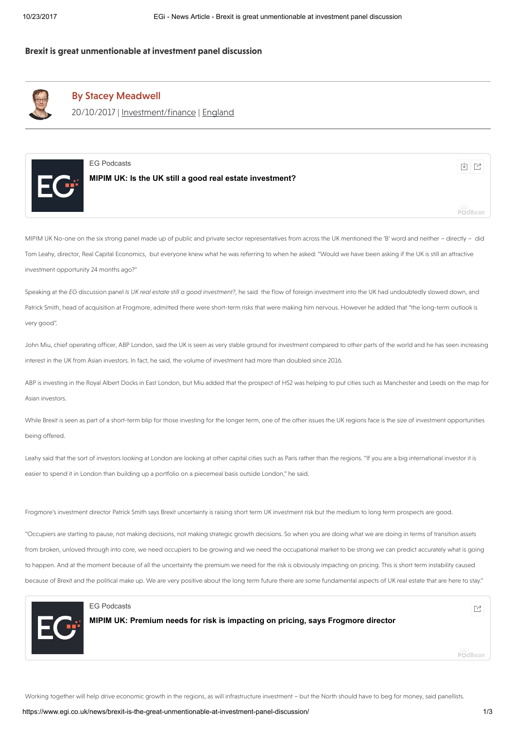# Brexit is great unmentionable at investment panel discussion



# By Stacey [Meadwell](https://www.egi.co.uk/author/stacey-meadwell/)

20/10/2017 | [Investment/finance](https://www.egi.co.uk/news/?sector=news-sector-investment-finance) | [England](https://www.egi.co.uk/news/?region=news-region-england)



 $\Box$ [EG Podcasts](https://estatesgazette.podbean.com/)  $\Box$ 

[MIPIM UK: Is the UK still a good real estate investment?](https://estatesgazette.podbean.com/e/mipim-uk-is-the-uk-still-a-good-real-estate-investment/)

MIPIM UK No-one on the six strong panel made up of public and private sector representatives from across the UK mentioned the 'B' word and neither – directly – did Tom Leahy, director, Real Capital Economics, but everyone knew what he was referring to when he asked: "Would we have been asking if the UK is still an attractive investment opportunity 24 months ago?"

Speaking at the EG discussion panel Is UK real estate still a good investment?, he said the flow of foreign investment into the UK had undoubtedly slowed down, and Patrick Smith, head of acquisition at Frogmore, admitted there were short-term risks that were making him nervous. However he added that "the long-term outlook is very good".

John Miu, chief operating officer, ABP London, said the UK is seen as very stable ground for investment compared to other parts of the world and he has seen increasing interest in the UK from Asian investors. In fact, he said, the volume of investment had more than doubled since 2016.

ABP is investing in the Royal Albert Docks in East London, but Miu added that the prospect of HS2 was helping to put cities such as Manchester and Leeds on the map for Asian investors.

While Brexit is seen as part of a short-term blip for those investing for the longer term, one of the other issues the UK regions face is the size of investment opportunities being offered.

Leahy said that the sort of investors looking at London are looking at other capital cities such as Paris rather than the regions. "If you are a big international investor it is easier to spend it in London than building up a portfolio on a piecemeal basis outside London," he said.

Frogmore's investment director Patrick Smith says Brexit uncertainty is raising short term UK investment risk but the medium to long term prospects are good.

"Occupiers are starting to pause, not making decisions, not making strategic growth decisions. So when you are doing what we are doing in terms of transition assets from broken, unloved through into core, we need occupiers to be growing and we need the occupational market to be strong we can predict accurately what is going to happen. And at the moment because of all the uncertainty the premium we need for the risk is obviously impacting on pricing. This is short term instability caused because of Brexit and the political make up. We are very positive about the long term future there are some fundamental aspects of UK real estate that are here to stay."



# [EG Podcasts](https://estatesgazette.podbean.com/)

[MIPIM UK: Premium needs for risk is impacting on pricing, says Frogmore director](https://estatesgazette.podbean.com/e/mipim-uk-premium-needs-for-risk-is-impacting-on-pricing-says-frogmore-director/)

POdBean

PodBean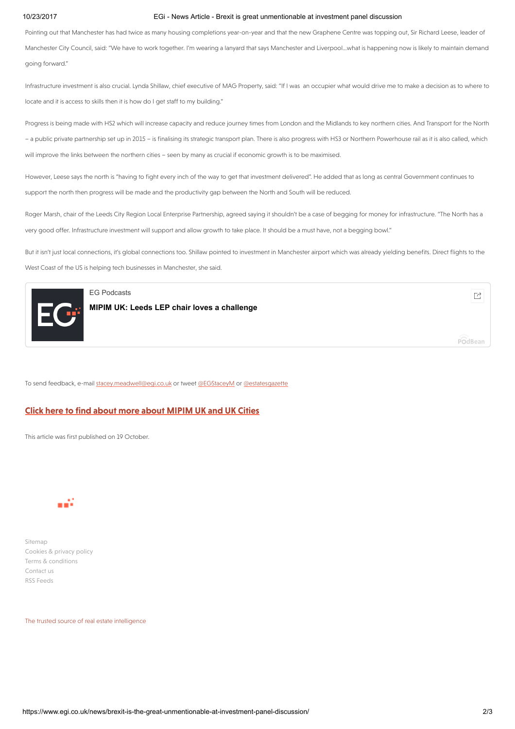### 10/23/2017 EGi - News Article - Brexit is great unmentionable at investment panel discussion

Pointing out that Manchester has had twice as many housing completions year-on-year and that the new Graphene Centre was topping out, Sir Richard Leese, leader of Manchester City Council, said: "We have to work together. I'm wearing a lanyard that says Manchester and Liverpool…what is happening now is likely to maintain demand going forward."

Infrastructure investment is also crucial. Lynda Shillaw, chief executive of MAG Property, said: "If I was an occupier what would drive me to make a decision as to where to locate and it is access to skills then it is how do I get staff to my building."

Progress is being made with HS2 which will increase capacity and reduce journey times from London and the Midlands to key northern cities. And Transport for the North – a public private partnership set up in 2015 – is finalising its strategic transport plan. There is also progress with HS3 or Northern Powerhouse rail as it is also called, which will improve the links between the northern cities – seen by many as crucial if economic growth is to be maximised.

However, Leese says the north is "having to fight every inch of the way to get that investment delivered". He added that as long as central Government continues to support the north then progress will be made and the productivity gap between the North and South will be reduced.

Roger Marsh, chair of the Leeds City Region Local Enterprise Partnership, agreed saying it shouldn't be a case of begging for money for infrastructure. "The North has a very good offer. Infrastructure investment will support and allow growth to take place. It should be a must have, not a begging bowl."

But it isn't just local connections, it's global connections too. Shillaw pointed to investment in Manchester airport which was already yielding benefits. Direct flights to the West Coast of the US is helping tech businesses in Manchester, she said.



# [EG Podcasts](https://estatesgazette.podbean.com/)

[MIPIM UK: Leeds LEP chair loves a challenge](https://estatesgazette.podbean.com/e/mipim-uk-leeds-lep-chair-loves-a-challenge/)

POdBean

To send feedback, e-mail [stacey.meadwell@egi.co.uk](mailto:stacey.meadwell@egi.co.uk) or tweet [@EGStaceyM](https://twitter.com/VictoriaB_EG) or [@estatesgazette](https://twitter.com/estatesgazette)

### Click here to find about more about [MIPIM](https://www.egi.co.uk/ukcities) UK and UK Cities

This article was first published on 19 October.



[Sitemap](http://www.estatesgazette.com/sitemap/) [Cookies](http://www.estatesgazette.com/privacy-policy/) & privacy policy Terms & [conditions](http://www.estatesgazette.com/terms/) [Contact us](https://www.egi.co.uk/news/876659/) RSS [Feeds](https://www.egi.co.uk/news/egs-news-and-legal-rss-feeds/)

The trusted source of real estate intelligence